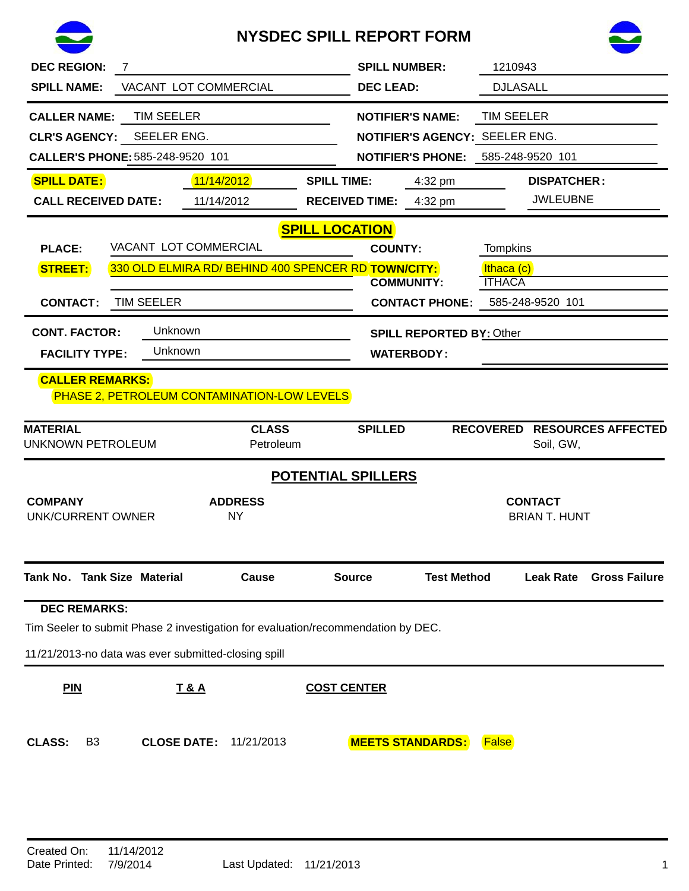

## **NYSDEC SPILL REPORT FORM**



| <b>DEC REGION:</b><br><b>SPILL NAME:</b><br><b>CALLER NAME:</b><br><b>CLR'S AGENCY:</b>                                                                                                         | 7<br>VACANT LOT COMMERCIAL<br><b>TIM SEELER</b><br>SEELER ENG.<br>CALLER'S PHONE: 585-248-9520 101                                      |                          |                       | <b>SPILL NUMBER:</b><br><b>DEC LEAD:</b> | <b>NOTIFIER'S NAME:</b><br>NOTIFIER'S AGENCY: SEELER ENG.<br><b>NOTIFIER'S PHONE: 585-248-9520 101</b> | 1210943<br><b>DJLASALL</b><br><b>TIM SEELER</b> |                                       |                           |
|-------------------------------------------------------------------------------------------------------------------------------------------------------------------------------------------------|-----------------------------------------------------------------------------------------------------------------------------------------|--------------------------|-----------------------|------------------------------------------|--------------------------------------------------------------------------------------------------------|-------------------------------------------------|---------------------------------------|---------------------------|
| <b>SPILL DATE:</b><br><b>CALL RECEIVED DATE:</b>                                                                                                                                                |                                                                                                                                         | 11/14/2012<br>11/14/2012 | <b>SPILL TIME:</b>    | <b>RECEIVED TIME:</b>                    | 4:32 pm<br>4:32 pm                                                                                     |                                                 | <b>DISPATCHER:</b><br><b>JWLEUBNE</b> |                           |
| <b>PLACE:</b><br><b>STREET:</b><br><b>CONTACT:</b><br><b>CONT. FACTOR:</b><br><b>FACILITY TYPE:</b>                                                                                             | VACANT LOT COMMERCIAL<br>330 OLD ELMIRA RD/ BEHIND 400 SPENCER RD TOWN/CITY:<br><b>TIM SEELER</b><br>Unknown<br>Unknown                 |                          | <b>SPILL LOCATION</b> | <b>COUNTY:</b>                           | <b>COMMUNITY:</b><br><b>CONTACT PHONE:</b><br><b>SPILL REPORTED BY: Other</b><br><b>WATERBODY:</b>     | <b>Tompkins</b><br>Ithaca (c)<br><b>ITHACA</b>  | 585-248-9520 101                      |                           |
| <b>CALLER REMARKS:</b><br><b>MATERIAL</b>                                                                                                                                                       | <b>PHASE 2, PETROLEUM CONTAMINATION-LOW LEVELS</b>                                                                                      | <b>CLASS</b>             |                       | <b>SPILLED</b>                           |                                                                                                        | <b>RECOVERED</b>                                |                                       | <b>RESOURCES AFFECTED</b> |
| <b>UNKNOWN PETROLEUM</b><br>Soil, GW,<br>Petroleum<br><b>POTENTIAL SPILLERS</b><br><b>COMPANY</b><br><b>ADDRESS</b><br><b>CONTACT</b><br><b>NY</b><br><b>BRIAN T. HUNT</b><br>UNK/CURRENT OWNER |                                                                                                                                         |                          |                       |                                          |                                                                                                        |                                                 |                                       |                           |
| Tank No. Tank Size Material                                                                                                                                                                     |                                                                                                                                         | Cause                    |                       | <b>Source</b>                            | <b>Test Method</b>                                                                                     |                                                 | <b>Leak Rate</b>                      | <b>Gross Failure</b>      |
| <b>DEC REMARKS:</b>                                                                                                                                                                             | Tim Seeler to submit Phase 2 investigation for evaluation/recommendation by DEC.<br>11/21/2013-no data was ever submitted-closing spill |                          |                       |                                          |                                                                                                        |                                                 |                                       |                           |
| <b>PIN</b>                                                                                                                                                                                      | <u>T&amp;A</u>                                                                                                                          |                          | <b>COST CENTER</b>    |                                          |                                                                                                        |                                                 |                                       |                           |
| <b>CLASS:</b><br>B3                                                                                                                                                                             | <b>CLOSE DATE:</b>                                                                                                                      | 11/21/2013               |                       |                                          | <b>MEETS STANDARDS:</b>                                                                                | <b>False</b>                                    |                                       |                           |